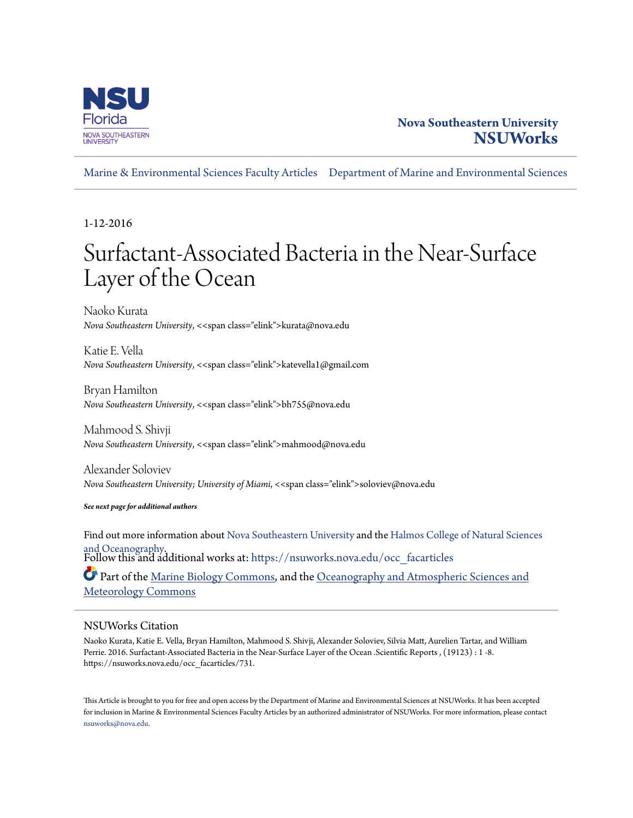

### **Nova Southeastern University [NSUWorks](https://nsuworks.nova.edu?utm_source=nsuworks.nova.edu%2Focc_facarticles%2F731&utm_medium=PDF&utm_campaign=PDFCoverPages)**

[Marine & Environmental Sciences Faculty Articles](https://nsuworks.nova.edu/occ_facarticles?utm_source=nsuworks.nova.edu%2Focc_facarticles%2F731&utm_medium=PDF&utm_campaign=PDFCoverPages) [Department of Marine and Environmental Sciences](https://nsuworks.nova.edu/cnso_mes?utm_source=nsuworks.nova.edu%2Focc_facarticles%2F731&utm_medium=PDF&utm_campaign=PDFCoverPages)

1-12-2016

## Surfactant-Associated Bacteria in the Near-Surface Layer of the Ocean

Naoko Kurata *Nova Southeastern University*, <<span class="elink">kurata@nova.edu

Katie E. Vella *Nova Southeastern University*, <<span class="elink">katevella1@gmail.com

Bryan Hamilton *Nova Southeastern University*, <<span class="elink">bh755@nova.edu

Mahmood S. Shivji *Nova Southeastern University*, <<span class="elink">mahmood@nova.edu

Alexander Soloviev *Nova Southeastern University; University of Miami*, <<span class="elink">soloviev@nova.edu

*See next page for additional authors*

Find out more information about [Nova Southeastern University](http://www.nova.edu/) and the [Halmos College of Natural Sciences](https://cnso.nova.edu) [and Oceanography.](https://cnso.nova.edu) Follow this and additional works at: [https://nsuworks.nova.edu/occ\\_facarticles](https://nsuworks.nova.edu/occ_facarticles?utm_source=nsuworks.nova.edu%2Focc_facarticles%2F731&utm_medium=PDF&utm_campaign=PDFCoverPages) Part of the [Marine Biology Commons,](http://network.bepress.com/hgg/discipline/1126?utm_source=nsuworks.nova.edu%2Focc_facarticles%2F731&utm_medium=PDF&utm_campaign=PDFCoverPages) and the [Oceanography and Atmospheric Sciences and](http://network.bepress.com/hgg/discipline/186?utm_source=nsuworks.nova.edu%2Focc_facarticles%2F731&utm_medium=PDF&utm_campaign=PDFCoverPages) [Meteorology Commons](http://network.bepress.com/hgg/discipline/186?utm_source=nsuworks.nova.edu%2Focc_facarticles%2F731&utm_medium=PDF&utm_campaign=PDFCoverPages)

#### NSUWorks Citation

Naoko Kurata, Katie E. Vella, Bryan Hamilton, Mahmood S. Shivji, Alexander Soloviev, Silvia Matt, Aurelien Tartar, and William Perrie. 2016. Surfactant-Associated Bacteria in the Near-Surface Layer of the Ocean .Scientific Reports , (19123) : 1 -8. https://nsuworks.nova.edu/occ\_facarticles/731.

This Article is brought to you for free and open access by the Department of Marine and Environmental Sciences at NSUWorks. It has been accepted for inclusion in Marine & Environmental Sciences Faculty Articles by an authorized administrator of NSUWorks. For more information, please contact [nsuworks@nova.edu.](mailto:nsuworks@nova.edu)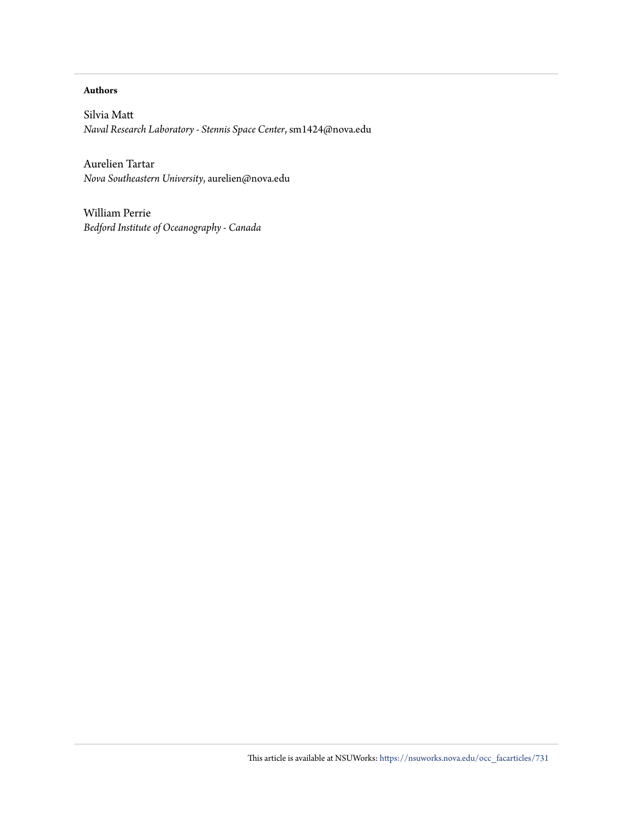#### **Authors**

Silvia Matt *Naval Research Laboratory - Stennis Space Center*, sm1424@nova.edu

Aurelien Tartar *Nova Southeastern University*, aurelien@nova.edu

William Perrie *Bedford Institute of Oceanography - Canada*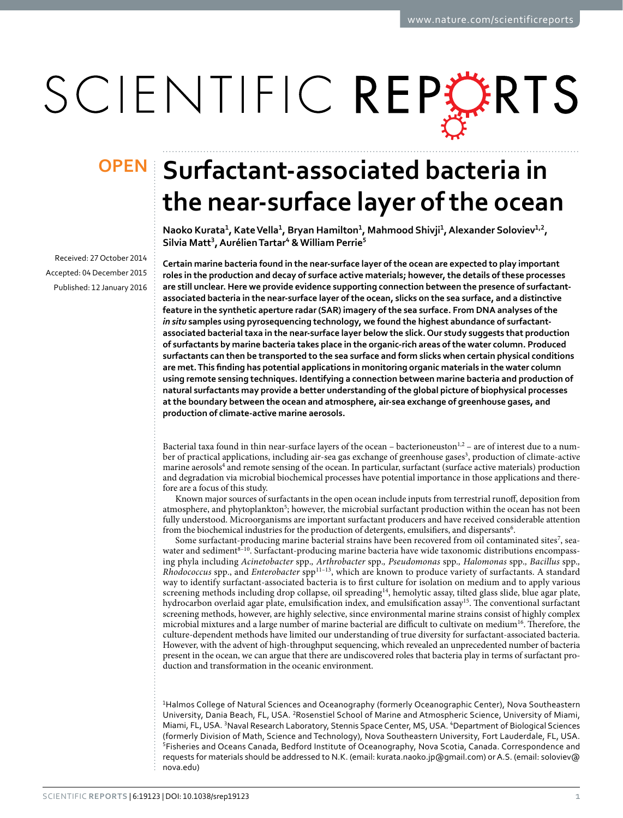# SCIENTIFIC REPERTS

Received: 27 October 2014 accepted: 04 December 2015 Published: 12 January 2016

## **OPEN** Surfactant-associated bacteria in **the near-surface layer of the ocean**

**Naoko Kurata<sup>1</sup>, KateVella<sup>1</sup>, Bryan Hamilton<sup>1</sup>, Mahmood Shivji<sup>1</sup>, Alexander Soloviev<sup>1</sup>,<sup>2</sup>, Silvia Matt<sup>3</sup>, AurélienTartar<sup>4</sup> & William Perrie<sup>5</sup>**

**Certain marine bacteria found in the near-surface layer of the ocean are expected to play important roles in the production and decay of surface active materials; however, the details of these processes are still unclear. Here we provide evidence supporting connection between the presence of surfactantassociated bacteria in the near-surface layer of the ocean, slicks on the sea surface, and a distinctive feature in the synthetic aperture radar (SAR) imagery of the sea surface. From DNA analyses of the**  *in situ* **samples using pyrosequencing technology, we found the highest abundance of surfactantassociated bacterial taxa in the near-surface layer below the slick. Our study suggests that production of surfactants by marine bacteria takes place in the organic-rich areas of the water column. Produced surfactants can then be transported to the sea surface and form slicks when certain physical conditions are met. This finding has potential applications in monitoring organic materials in the water column using remote sensing techniques. Identifying a connection between marine bacteria and production of natural surfactants may provide a better understanding of the global picture of biophysical processes at the boundary between the ocean and atmosphere, air-sea exchange of greenhouse gases, and production of climate-active marine aerosols.**

Bacterial taxa found in thin near-surface layers of the ocean – bacterioneuston<sup>1[,2](#page-7-1)</sup> – are of interest due to a num-ber of practical applications, including air-sea gas exchange of greenhouse gases<sup>[3](#page-7-2)</sup>, production of climate-active marine aerosols<sup>4</sup> and remote sensing of the ocean. In particular, surfactant (surface active materials) production and degradation via microbial biochemical processes have potential importance in those applications and therefore are a focus of this study.

Known major sources of surfactants in the open ocean include inputs from terrestrial runoff, deposition from atmosphere, and phytoplankton<sup>[5](#page-7-4)</sup>; however, the microbial surfactant production within the ocean has not been fully understood. Microorganisms are important surfactant producers and have received considerable attention from the biochemical industries for the production of detergents, emulsifiers, and dispersants<sup>[6](#page-7-5)</sup>.

Some surfactant-producing marine bacterial strains have been recovered from oil contaminated sites<sup>[7](#page-8-0)</sup>, seawater and sediment<sup>8-10</sup>. Surfactant-producing marine bacteria have wide taxonomic distributions encompassing phyla including *Acinetobacter* spp.*, Arthrobacter* spp.*, Pseudomonas* spp.*, Halomonas* spp.*, Bacillus* spp.*, Rhodococcus* spp., and *Enterobacter* spp<sup>11–13</sup>, which are known to produce variety of surfactants. A standard way to identify surfactant-associated bacteria is to first culture for isolation on medium and to apply various screening methods including drop collapse, oil spreading<sup>[14](#page-8-3)</sup>, hemolytic assay, tilted glass slide, blue agar plate, hydrocarbon overlaid agar plate, emulsification index, and emulsification assay<sup>15</sup>. The conventional surfactant screening methods, however, are highly selective, since environmental marine strains consist of highly complex microbial mixtures and a large number of marine bacterial are difficult to cultivate on medium<sup>[16](#page-8-5)</sup>. Therefore, the culture-dependent methods have limited our understanding of true diversity for surfactant-associated bacteria. However, with the advent of high-throughput sequencing, which revealed an unprecedented number of bacteria present in the ocean, we can argue that there are undiscovered roles that bacteria play in terms of surfactant production and transformation in the oceanic environment.

<sup>1</sup>Halmos College of Natural Sciences and Oceanography (formerly Oceanographic Center), Nova Southeastern University, Dania Beach, FL, USA. <sup>2</sup>Rosenstiel School of Marine and Atmospheric Science, University of Miami, Miami, FL, USA. <sup>3</sup>Naval Research Laboratory, Stennis Space Center, MS, USA. <sup>4</sup>Department of Biological Sciences (formerly Division of Math, Science and Technology), Nova Southeastern University, Fort Lauderdale, FL, USA. <sup>5</sup>Fisheries and Oceans Canada, Bedford Institute of Oceanography, Nova Scotia, Canada. Correspondence and requests for materials should be addressed to N.K. (email: [kurata.naoko.jp@gmail.com](mailto:kurata.naoko.jp@gmail.com)) or A.S. (email: [soloviev@](mailto:soloviev@nova.edu) [nova.edu](mailto:soloviev@nova.edu))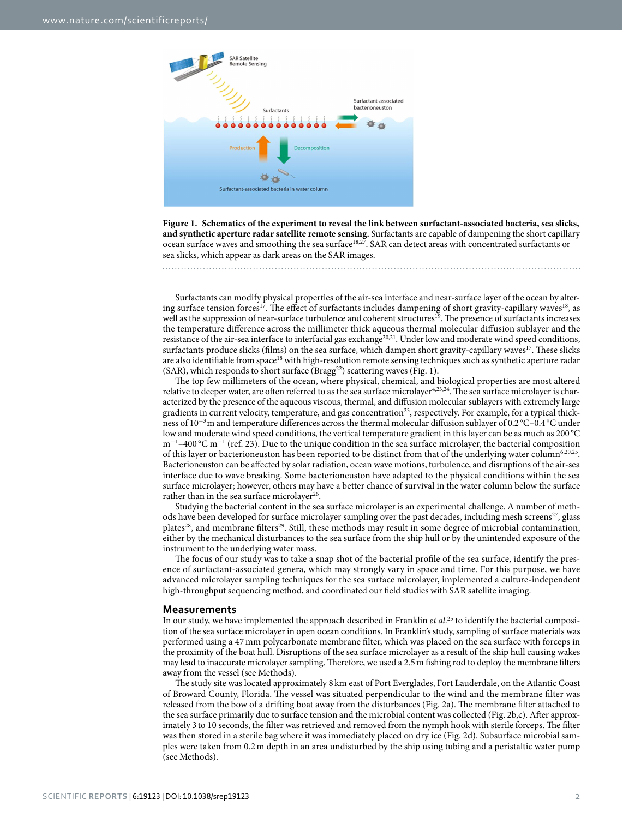

<span id="page-3-0"></span>**Figure 1. Schematics of the experiment to reveal the link between surfactant-associated bacteria, sea slicks, and synthetic aperture radar satellite remote sensing.** Surfactants are capable of dampening the short capillary ocean surface waves and smoothing the sea surface<sup>18,27</sup>. SAR can detect areas with concentrated surfactants or sea slicks, which appear as dark areas on the SAR images.

Surfactants can modify physical properties of the air-sea interface and near-surface layer of the ocean by altering surface tension forces<sup>17</sup>. The effect of surfactants includes dampening of short gravity-capillary waves<sup>18</sup>, as well as the suppression of near-surface turbulence and coherent structures<sup>[19](#page-8-8)</sup>. The presence of surfactants increases the temperature difference across the millimeter thick aqueous thermal molecular diffusion sublayer and the resistance of the air-sea interface to interfacial gas exchange<sup>[20](#page-8-9),[21](#page-8-10)</sup>. Under low and moderate wind speed conditions, surfactants produce slicks (films) on the sea surface, which dampen short gravity-capillary waves<sup>[17](#page-8-6)</sup>. These slicks are also identifiable from space<sup>[18](#page-8-7)</sup> with high-resolution remote sensing techniques such as synthetic aperture radar (SAR), which responds to short surface  $(Bragg<sup>22</sup>)$  scattering waves ([Fig. 1](#page-3-0)).

The top few millimeters of the ocean, where physical, chemical, and biological properties are most altered relative to deeper water, are often referred to as the sea surface microlayer<sup>4[,23,](#page-8-12)24</sup>. The sea surface microlayer is characterized by the presence of the aqueous viscous, thermal, and diffusion molecular sublayers with extremely large gradients in current velocity, temperature, and gas concentration<sup>23</sup>, respectively. For example, for a typical thickness of 10<sup>−</sup>3m and temperature differences across the thermal molecular diffusion sublayer of 0.2°C–0.4°C under low and moderate wind speed conditions, the vertical temperature gradient in this layer can be as much as 200 °C m<sup>-1</sup>-400 °C m<sup>-1</sup> (ref. [23](#page-8-12)). Due to the unique condition in the sea surface microlayer, the bacterial composition of this layer or bacterioneuston has been reported to be distinct from that of the underlying water column<sup>[6,](#page-7-5)[20,](#page-8-9)25</sup>. Bacterioneuston can be affected by solar radiation, ocean wave motions, turbulence, and disruptions of the air-sea interface due to wave breaking. Some bacterioneuston have adapted to the physical conditions within the sea surface microlayer; however, others may have a better chance of survival in the water column below the surface rather than in the sea surface microlayer $26$ .

Studying the bacterial content in the sea surface microlayer is an experimental challenge. A number of meth-ods have been developed for surface microlayer sampling over the past decades, including mesh screens<sup>[27](#page-8-16)</sup>, glass plates<sup>28</sup>, and membrane filters<sup>29</sup>. Still, these methods may result in some degree of microbial contamination, either by the mechanical disturbances to the sea surface from the ship hull or by the unintended exposure of the instrument to the underlying water mass.

The focus of our study was to take a snap shot of the bacterial profile of the sea surface, identify the presence of surfactant-associated genera, which may strongly vary in space and time. For this purpose, we have advanced microlayer sampling techniques for the sea surface microlayer, implemented a culture-independent high-throughput sequencing method, and coordinated our field studies with SAR satellite imaging.

#### **Measurements**

In our study, we have implemented the approach described in Franklin *et al*. [25](#page-8-14) to identify the bacterial composition of the sea surface microlayer in open ocean conditions. In Franklin's study, sampling of surface materials was performed using a 47 mm polycarbonate membrane filter, which was placed on the sea surface with forceps in the proximity of the boat hull. Disruptions of the sea surface microlayer as a result of the ship hull causing wakes may lead to inaccurate microlayer sampling. Therefore, we used a 2.5m fishing rod to deploy the membrane filters away from the vessel (see Methods).

The study site was located approximately 8 km east of Port Everglades, Fort Lauderdale, on the Atlantic Coast of Broward County, Florida. The vessel was situated perpendicular to the wind and the membrane filter was released from the bow of a drifting boat away from the disturbances ([Fig. 2a\)](#page-4-0). The membrane filter attached to the sea surface primarily due to surface tension and the microbial content was collected ([Fig. 2b](#page-4-0),c). After approximately 3 to 10 seconds, the filter was retrieved and removed from the nymph hook with sterile forceps. The filter was then stored in a sterile bag where it was immediately placed on dry ice [\(Fig. 2d\)](#page-4-0). Subsurface microbial samples were taken from 0.2m depth in an area undisturbed by the ship using tubing and a peristaltic water pump (see Methods).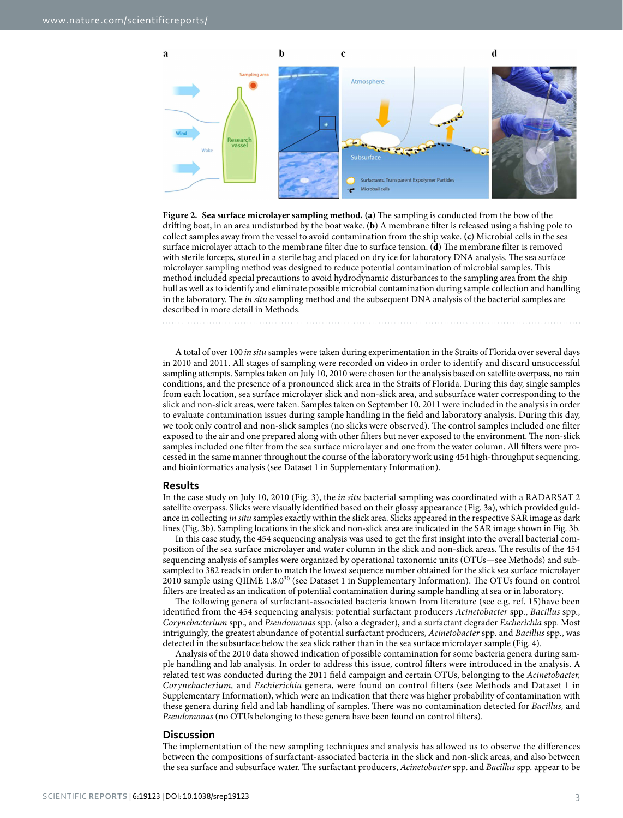

<span id="page-4-0"></span>**Figure 2. Sea surface microlayer sampling method. (a**) The sampling is conducted from the bow of the drifting boat, in an area undisturbed by the boat wake. (**b**) A membrane filter is released using a fishing pole to collect samples away from the vessel to avoid contamination from the ship wake. **(c**) Microbial cells in the sea surface microlayer attach to the membrane filter due to surface tension. (**d**) The membrane filter is removed with sterile forceps, stored in a sterile bag and placed on dry ice for laboratory DNA analysis. The sea surface microlayer sampling method was designed to reduce potential contamination of microbial samples. This method included special precautions to avoid hydrodynamic disturbances to the sampling area from the ship hull as well as to identify and eliminate possible microbial contamination during sample collection and handling in the laboratory. The *in situ* sampling method and the subsequent DNA analysis of the bacterial samples are described in more detail in Methods.

A total of over 100 *in situ* samples were taken during experimentation in the Straits of Florida over several days in 2010 and 2011. All stages of sampling were recorded on video in order to identify and discard unsuccessful sampling attempts. Samples taken on July 10, 2010 were chosen for the analysis based on satellite overpass, no rain conditions, and the presence of a pronounced slick area in the Straits of Florida. During this day, single samples from each location, sea surface microlayer slick and non-slick area, and subsurface water corresponding to the slick and non-slick areas, were taken. Samples taken on September 10, 2011 were included in the analysis in order to evaluate contamination issues during sample handling in the field and laboratory analysis. During this day, we took only control and non-slick samples (no slicks were observed). The control samples included one filter exposed to the air and one prepared along with other filters but never exposed to the environment. The non-slick samples included one filter from the sea surface microlayer and one from the water column. All filters were processed in the same manner throughout the course of the laboratory work using 454 high-throughput sequencing, and bioinformatics analysis (see Dataset 1 in Supplementary Information).

#### **Results**

In the case study on July 10, 2010 ([Fig. 3\)](#page-5-0), the *in situ* bacterial sampling was coordinated with a RADARSAT 2 satellite overpass. Slicks were visually identified based on their glossy appearance [\(Fig. 3a\)](#page-5-0), which provided guidance in collecting *in situ* samples exactly within the slick area. Slicks appeared in the respective SAR image as dark lines [\(Fig. 3b](#page-5-0)). Sampling locations in the slick and non-slick area are indicated in the SAR image shown in [Fig. 3b.](#page-5-0)

In this case study, the 454 sequencing analysis was used to get the first insight into the overall bacterial composition of the sea surface microlayer and water column in the slick and non-slick areas. The results of the 454 sequencing analysis of samples were organized by operational taxonomic units (OTUs—see Methods) and subsampled to 382 reads in order to match the lowest sequence number obtained for the slick sea surface microlayer 2010 sample using QIIME 1.8.[030](#page-8-19) (see Dataset 1 in Supplementary Information). The OTUs found on control filters are treated as an indication of potential contamination during sample handling at sea or in laboratory.

The following genera of surfactant-associated bacteria known from literature (see e.g. ref. [15](#page-8-4))have been identified from the 454 sequencing analysis: potential surfactant producers *Acinetobacter* spp., *Bacillus* spp., *Corynebacterium* spp., and *Pseudomonas* spp. (also a degrader), and a surfactant degrader *Escherichia* spp. Most intriguingly, the greatest abundance of potential surfactant producers, *Acinetobacter* spp. and *Bacillus* spp., was detected in the subsurface below the sea slick rather than in the sea surface microlayer sample [\(Fig. 4\)](#page-5-1).

Analysis of the 2010 data showed indication of possible contamination for some bacteria genera during sample handling and lab analysis. In order to address this issue, control filters were introduced in the analysis. A related test was conducted during the 2011 field campaign and certain OTUs, belonging to the *Acinetobacter, Corynebacterium,* and *Eschierichia* genera, were found on control filters (see Methods and Dataset 1 in Supplementary Information), which were an indication that there was higher probability of contamination with these genera during field and lab handling of samples. There was no contamination detected for *Bacillus,* and *Pseudomonas* (no OTUs belonging to these genera have been found on control filters).

#### **Discussion**

The implementation of the new sampling techniques and analysis has allowed us to observe the differences between the compositions of surfactant-associated bacteria in the slick and non-slick areas, and also between the sea surface and subsurface water. The surfactant producers, *Acinetobacter* spp. and *Bacillus* spp. appear to be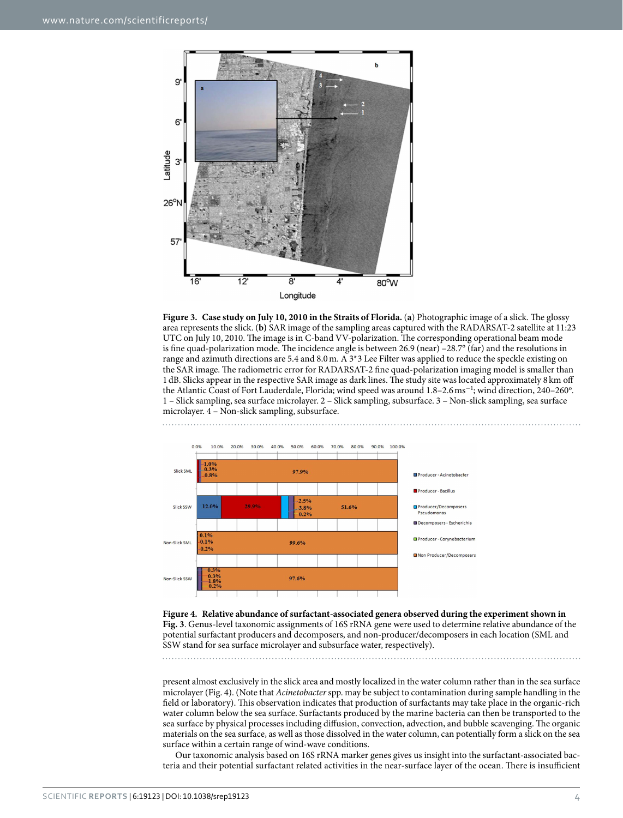

<span id="page-5-0"></span>**Figure 3. Case study on July 10, 2010 in the Straits of Florida.** (**a**) Photographic image of a slick. The glossy area represents the slick. (**b)** SAR image of the sampling areas captured with the RADARSAT-2 satellite at 11:23 UTC on July 10, 2010. The image is in C-band VV-polarization. The corresponding operational beam mode is fine quad-polarization mode. The incidence angle is between 26.9 (near) –28.7° (far) and the resolutions in range and azimuth directions are 5.4 and 8.0m. A 3\*3 Lee Filter was applied to reduce the speckle existing on the SAR image. The radiometric error for RADARSAT-2 fine quad-polarization imaging model is smaller than 1dB. Slicks appear in the respective SAR image as dark lines. The study site was located approximately 8 km off the Atlantic Coast of Fort Lauderdale, Florida; wind speed was around 1.8–2.6 ms<sup>-1</sup>; wind direction, 240–260°. 1 – Slick sampling, sea surface microlayer. 2 – Slick sampling, subsurface. 3 – Non-slick sampling, sea surface microlayer. 4 – Non-slick sampling, subsurface.



<span id="page-5-1"></span>**Figure 4. Relative abundance of surfactant-associated genera observed during the experiment shown in [Fig. 3](#page-5-0)**. Genus-level taxonomic assignments of 16S rRNA gene were used to determine relative abundance of the potential surfactant producers and decomposers, and non-producer/decomposers in each location (SML and SSW stand for sea surface microlayer and subsurface water, respectively).

present almost exclusively in the slick area and mostly localized in the water column rather than in the sea surface microlayer [\(Fig. 4\)](#page-5-1). (Note that *Acinetobacter* spp. may be subject to contamination during sample handling in the field or laboratory). This observation indicates that production of surfactants may take place in the organic-rich water column below the sea surface. Surfactants produced by the marine bacteria can then be transported to the sea surface by physical processes including diffusion, convection, advection, and bubble scavenging. The organic materials on the sea surface, as well as those dissolved in the water column, can potentially form a slick on the sea surface within a certain range of wind-wave conditions.

Our taxonomic analysis based on 16S rRNA marker genes gives us insight into the surfactant-associated bacteria and their potential surfactant related activities in the near-surface layer of the ocean. There is insufficient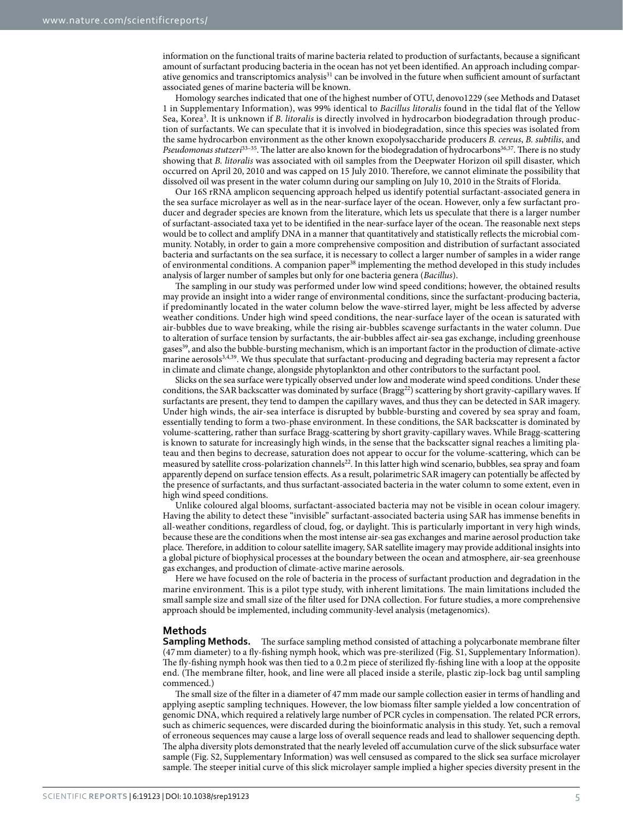information on the functional traits of marine bacteria related to production of surfactants, because a significant amount of surfactant producing bacteria in the ocean has not yet been identified. An approach including comparative genomics and transcriptomics analysis<sup>31</sup> can be involved in the future when sufficient amount of surfactant associated genes of marine bacteria will be known.

Homology searches indicated that one of the highest number of OTU, denovo1229 (see Methods and Dataset 1 in Supplementary Information), was 99% identical to *Bacillus litoralis* found in the tidal flat of the Yellow Sea, Korea[3](#page-8-21) . It is unknown if *B. litoralis* is directly involved in hydrocarbon biodegradation through production of surfactants. We can speculate that it is involved in biodegradation, since this species was isolated from the same hydrocarbon environment as the other known exopolysaccharide producers *B. cereus*, *B. subtilis*, and *Pseudomonas stutzeri*[33–35](#page-8-22). The latter are also known for the biodegradation of hydrocarbons[36](#page-8-23)[,37.](#page-8-24) There is no study showing that *B. litoralis* was associated with oil samples from the Deepwater Horizon oil spill disaster, which occurred on April 20, 2010 and was capped on 15 July 2010. Therefore, we cannot eliminate the possibility that dissolved oil was present in the water column during our sampling on July 10, 2010 in the Straits of Florida.

Our 16S rRNA amplicon sequencing approach helped us identify potential surfactant-associated genera in the sea surface microlayer as well as in the near-surface layer of the ocean. However, only a few surfactant producer and degrader species are known from the literature, which lets us speculate that there is a larger number of surfactant-associated taxa yet to be identified in the near-surface layer of the ocean. The reasonable next steps would be to collect and amplify DNA in a manner that quantitatively and statistically reflects the microbial community. Notably, in order to gain a more comprehensive composition and distribution of surfactant associated bacteria and surfactants on the sea surface, it is necessary to collect a larger number of samples in a wider range of environmental conditions. A companion paper[38](#page-8-25) implementing the method developed in this study includes analysis of larger number of samples but only for one bacteria genera (*Bacillus*).

The sampling in our study was performed under low wind speed conditions; however, the obtained results may provide an insight into a wider range of environmental conditions, since the surfactant-producing bacteria, if predominantly located in the water column below the wave-stirred layer, might be less affected by adverse weather conditions. Under high wind speed conditions, the near-surface layer of the ocean is saturated with air-bubbles due to wave breaking, while the rising air-bubbles scavenge surfactants in the water column. Due to alteration of surface tension by surfactants, the air-bubbles affect air-sea gas exchange, including greenhouse gase[s39,](#page-8-26) and also the bubble-bursting mechanism, which is an important factor in the production of climate-active marine aerosol[s3](#page-7-2)[,4](#page-7-3),[39](#page-8-26). We thus speculate that surfactant-producing and degrading bacteria may represent a factor in climate and climate change, alongside phytoplankton and other contributors to the surfactant pool.

Slicks on the sea surface were typically observed under low and moderate wind speed conditions. Under these conditions, the SAR backscatter was dominated by surface (Bragg<sup>[22](#page-8-11)</sup>) scattering by short gravity-capillary waves. If surfactants are present, they tend to dampen the capillary waves, and thus they can be detected in SAR imagery. Under high winds, the air-sea interface is disrupted by bubble-bursting and covered by sea spray and foam, essentially tending to form a two-phase environment. In these conditions, the SAR backscatter is dominated by volume-scattering, rather than surface Bragg-scattering by short gravity-capillary waves. While Bragg-scattering is known to saturate for increasingly high winds, in the sense that the backscatter signal reaches a limiting plateau and then begins to decrease, saturation does not appear to occur for the volume-scattering, which can be measured by satellite cross-polarization channels<sup>[22](#page-8-11)</sup>. In this latter high wind scenario, bubbles, sea spray and foam apparently depend on surface tension effects. As a result, polarimetric SAR imagery can potentially be affected by the presence of surfactants, and thus surfactant-associated bacteria in the water column to some extent, even in high wind speed conditions.

Unlike coloured algal blooms, surfactant-associated bacteria may not be visible in ocean colour imagery. Having the ability to detect these "invisible" surfactant-associated bacteria using SAR has immense benefits in all-weather conditions, regardless of cloud, fog, or daylight. This is particularly important in very high winds, because these are the conditions when the most intense air-sea gas exchanges and marine aerosol production take place. Therefore, in addition to colour satellite imagery, SAR satellite imagery may provide additional insights into a global picture of biophysical processes at the boundary between the ocean and atmosphere, air-sea greenhouse gas exchanges, and production of climate-active marine aerosols.

Here we have focused on the role of bacteria in the process of surfactant production and degradation in the marine environment. This is a pilot type study, with inherent limitations. The main limitations included the small sample size and small size of the filter used for DNA collection. For future studies, a more comprehensive approach should be implemented, including community-level analysis (metagenomics).

#### **Methods**

**Sampling Methods.** The surface sampling method consisted of attaching a polycarbonate membrane filter (47mm diameter) to a fly-fishing nymph hook, which was pre-sterilized (Fig. S1, Supplementary Information). The fly-fishing nymph hook was then tied to a 0.2m piece of sterilized fly-fishing line with a loop at the opposite end. (The membrane filter, hook, and line were all placed inside a sterile, plastic zip-lock bag until sampling commenced.)

The small size of the filter in a diameter of 47mm made our sample collection easier in terms of handling and applying aseptic sampling techniques. However, the low biomass filter sample yielded a low concentration of genomic DNA, which required a relatively large number of PCR cycles in compensation. The related PCR errors, such as chimeric sequences, were discarded during the bioinformatic analysis in this study. Yet, such a removal of erroneous sequences may cause a large loss of overall sequence reads and lead to shallower sequencing depth. The alpha diversity plots demonstrated that the nearly leveled off accumulation curve of the slick subsurface water sample (Fig. S2, Supplementary Information) was well censused as compared to the slick sea surface microlayer sample. The steeper initial curve of this slick microlayer sample implied a higher species diversity present in the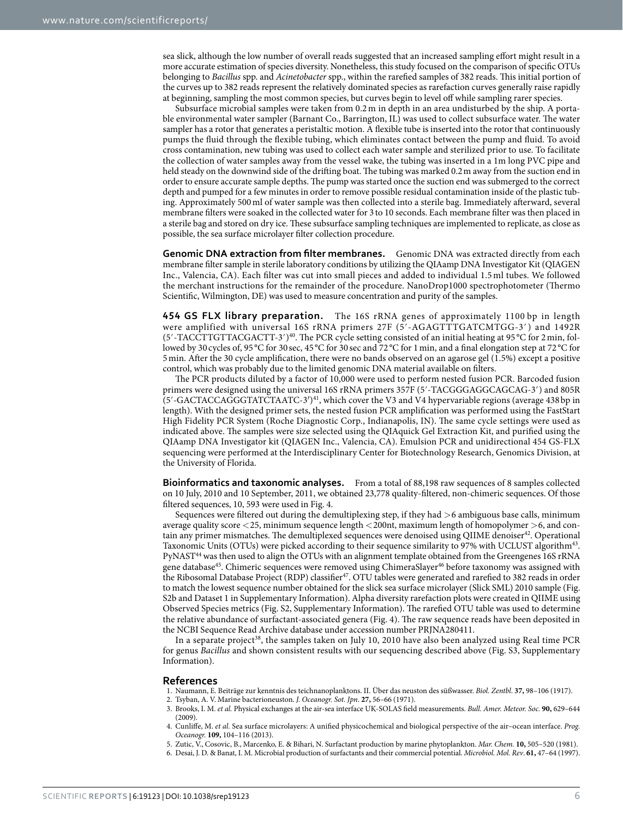sea slick, although the low number of overall reads suggested that an increased sampling effort might result in a more accurate estimation of species diversity. Nonetheless, this study focused on the comparison of specific OTUs belonging to *Bacillus* spp. and *Acinetobacter* spp., within the rarefied samples of 382 reads. This initial portion of the curves up to 382 reads represent the relatively dominated species as rarefaction curves generally raise rapidly at beginning, sampling the most common species, but curves begin to level off while sampling rarer species.

Subsurface microbial samples were taken from 0.2 m in depth in an area undisturbed by the ship. A portable environmental water sampler (Barnant Co., Barrington, IL) was used to collect subsurface water. The water sampler has a rotor that generates a peristaltic motion. A flexible tube is inserted into the rotor that continuously pumps the fluid through the flexible tubing, which eliminates contact between the pump and fluid. To avoid cross contamination, new tubing was used to collect each water sample and sterilized prior to use. To facilitate the collection of water samples away from the vessel wake, the tubing was inserted in a 1m long PVC pipe and held steady on the downwind side of the drifting boat. The tubing was marked 0.2m away from the suction end in order to ensure accurate sample depths. The pump was started once the suction end was submerged to the correct depth and pumped for a few minutes in order to remove possible residual contamination inside of the plastic tubing. Approximately 500ml of water sample was then collected into a sterile bag. Immediately afterward, several membrane filters were soaked in the collected water for 3 to 10 seconds. Each membrane filter was then placed in a sterile bag and stored on dry ice. These subsurface sampling techniques are implemented to replicate, as close as possible, the sea surface microlayer filter collection procedure.

**Genomic DNA extraction from filter membranes.** Genomic DNA was extracted directly from each membrane filter sample in sterile laboratory conditions by utilizing the QIAamp DNA Investigator Kit (QIAGEN Inc., Valencia, CA). Each filter was cut into small pieces and added to individual 1.5 ml tubes. We followed the merchant instructions for the remainder of the procedure. NanoDrop1000 spectrophotometer (Thermo Scientific, Wilmington, DE) was used to measure concentration and purity of the samples.

**454 GS FLX library preparation.** The 16S rRNA genes of approximately 1100 bp in length were amplified with universal 16S rRNA primers 27F (5′-AGAGTTTGATCMTGG-3′) and 1492R  $(5'$ -TACCTTGTTACGACTT-3')<sup>[40](#page-8-27)</sup>. The PCR cycle setting consisted of an initial heating at 95 °C for 2 min, followed by 30 cycles of, 95 °C for 30 sec, 45 °C for 30 sec and 72 °C for 1 min, and a final elongation step at 72 °C for 5min. After the 30 cycle amplification, there were no bands observed on an agarose gel (1.5%) except a positive control, which was probably due to the limited genomic DNA material available on filters.

The PCR products diluted by a factor of 10,000 were used to perform nested fusion PCR. Barcoded fusion primers were designed using the universal 16S rRNA primers 357F (5′-TACGGGAGGCAGCAG-3′) and 805R  $(5'$ -GACTACCAGGGTATCTAATC-3<sup>'</sup>)<sup>41</sup>, which cover the V3 and V4 hypervariable regions (average 438 bp in length). With the designed primer sets, the nested fusion PCR amplification was performed using the FastStart High Fidelity PCR System (Roche Diagnostic Corp., Indianapolis, IN). The same cycle settings were used as indicated above. The samples were size selected using the QIAquick Gel Extraction Kit, and purified using the QIAamp DNA Investigator kit (QIAGEN Inc., Valencia, CA). Emulsion PCR and unidirectional 454 GS-FLX sequencing were performed at the Interdisciplinary Center for Biotechnology Research, Genomics Division, at the University of Florida.

**Bioinformatics and taxonomic analyses.** From a total of 88,198 raw sequences of 8 samples collected on 10 July, 2010 and 10 September, 2011, we obtained 23,778 quality-filtered, non-chimeric sequences. Of those filtered sequences, 10, 593 were used in [Fig. 4](#page-5-1).

Sequences were filtered out during the demultiplexing step, if they had >6 ambiguous base calls, minimum average quality score <25, minimum sequence length <200nt, maximum length of homopolymer >6, and contain any primer mismatches. The demultiplexed sequences were denoised using QIIME denoiser<sup>42</sup>. Operational Taxonomic Units (OTUs) were picked according to their sequence similarity to 97% with UCLUST algorith[m43.](#page-8-30) PyNAST<sup>44</sup> was then used to align the OTUs with an alignment template obtained from the Greengenes 16S rRNA gene database<sup>[45](#page-8-32)</sup>. Chimeric sequences were removed using ChimeraSlayer<sup>[46](#page-8-33)</sup> before taxonomy was assigned with the Ribosomal Database Project (RDP) classifier<sup>[47](#page-8-34)</sup>. OTU tables were generated and rarefied to 382 reads in order to match the lowest sequence number obtained for the slick sea surface microlayer (Slick SML) 2010 sample (Fig. S2b and Dataset 1 in Supplementary Information). Alpha diversity rarefaction plots were created in QIIME using Observed Species metrics (Fig. S2, Supplementary Information). The rarefied OTU table was used to determine the relative abundance of surfactant-associated genera ([Fig. 4\)](#page-5-1). The raw sequence reads have been deposited in the NCBI Sequence Read Archive database under accession number PRJNA280411.

In a separate project<sup>[38](#page-8-25)</sup>, the samples taken on July 10, 2010 have also been analyzed using Real time PCR for genus *Bacillus* and shown consistent results with our sequencing described above (Fig. S3, Supplementary Information).

#### **References**

- <span id="page-7-0"></span>1. Naumann, E. Beiträge zur kenntnis des teichnanoplanktons. II. Über das neuston des süßwasser. *Biol. Zentbl*. **37,** 98–106 (1917).
- <span id="page-7-1"></span>2. Tsyban, A. V. Marine bacterioneuston. *J. Oceanogr. Sot. Jpn*. **27,** 56–66 (1971).
- <span id="page-7-2"></span>3. Brooks, I. M. *et al.* Physical exchanges at the air-sea interface UK-SOLAS field measurements. *Bull. Amer. Meteor. Soc.* **90,** 629–644  $(2009)$
- <span id="page-7-3"></span>4. Cunliffe, M. *et al.* Sea surface microlayers: A unified physicochemical and biological perspective of the air–ocean interface. *Prog. Oceanogr.* **109,** 104–116 (2013).
- <span id="page-7-4"></span>5. Zutic, V., Cosovic, B., Marcenko, E. & Bihari, N. Surfactant production by marine phytoplankton. *Mar. Chem.* **10,** 505–520 (1981).
- <span id="page-7-5"></span>6. Desai, J. D. & Banat, I. M. Microbial production of surfactants and their commercial potential. *Microbiol. Mol. Rev*. **61,** 47–64 (1997).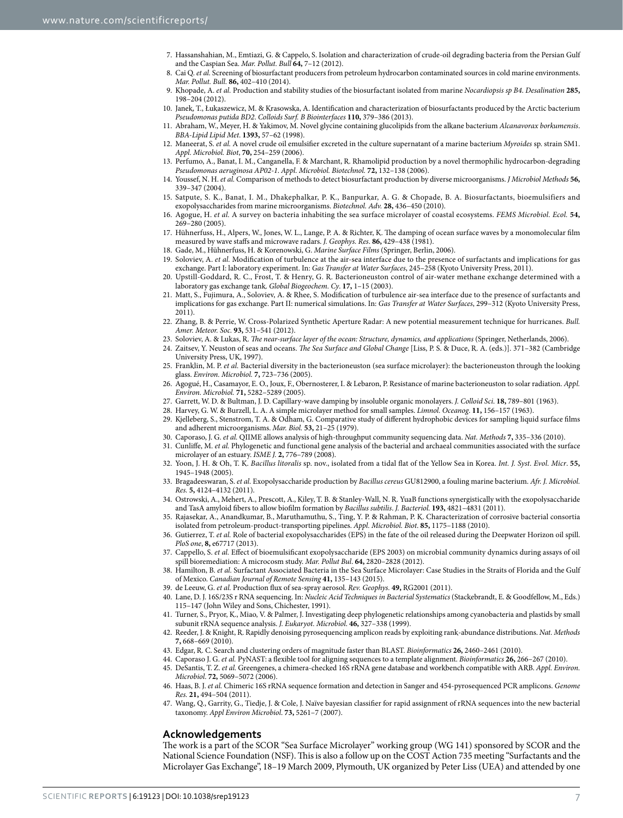- <span id="page-8-0"></span>7. Hassanshahian, M., Emtiazi, G. & Cappelo, S. Isolation and characterization of crude-oil degrading bacteria from the Persian Gulf and the Caspian Sea. *Mar. Pollut. Bull* **64,** 7–12 (2012).
- <span id="page-8-1"></span>8. Cai Q. *et al.* Screening of biosurfactant producers from petroleum hydrocarbon contaminated sources in cold marine environments. *Mar. Pollut. Bull.* **86,** 402–410 (2014).
- 9. Khopade, A. *et al.* Production and stability studies of the biosurfactant isolated from marine *Nocardiopsis sp B4*. *Desalination* **285,**  198–204 (2012).
- 10. Janek, T., Łukaszewicz, M. & Krasowska, A. Identification and characterization of biosurfactants produced by the Arctic bacterium *Pseudomonas putida BD2*. *Colloids Surf. B Biointerfaces* **110,** 379–386 (2013).
- <span id="page-8-2"></span>11. Abraham, W., Meyer, H. & Yakimov, M. Novel glycine containing glucolipids from the alkane bacterium *Alcanavorax borkumensis*. *BBA-Lipid Lipid Met*. **1393,** 57–62 (1998).
- 12. Maneerat, S. *et al.* A novel crude oil emulsifier excreted in the culture supernatant of a marine bacterium *Myroides* sp. strain SM1. *Appl. Microbiol. Biot*, **70,** 254–259 (2006).
- 13. Perfumo, A., Banat, I. M., Canganella, F. & Marchant, R. Rhamolipid production by a novel thermophilic hydrocarbon-degrading *Pseudomonas aeruginosa AP02-1*. *Appl. Microbiol. Biotechnol.* **72,** 132–138 (2006).
- <span id="page-8-3"></span>14. Youssef, N. H. *et al.* Comparison of methods to detect biosurfactant production by diverse microorganisms. *J Microbiol Methods* **56,** 339–347 (2004).
- <span id="page-8-4"></span>15. Satpute, S. K., Banat, I. M., Dhakephalkar, P. K., Banpurkar, A. G. & Chopade, B. A. Biosurfactants, bioemulsifiers and exopolysaccharides from marine microorganisms. *Biotechnol. Adv.* **28,** 436–450 (2010).
- <span id="page-8-5"></span>16. Agogue, H. *et al.* A survey on bacteria inhabiting the sea surface microlayer of coastal ecosystems. *FEMS Microbiol. Ecol.* **54,** 269–280 (2005).
- <span id="page-8-6"></span>17. Hühnerfuss, H., Alpers, W., Jones, W. L., Lange, P. A. & Richter, K. The damping of ocean surface waves by a monomolecular film measured by wave staffs and microwave radars. *J. Geophys. Res*. **86,** 429–438 (1981).
- <span id="page-8-8"></span><span id="page-8-7"></span>18. Gade, M., Hühnerfuss, H. & Korenowski, G. *Marine Surface Films* (Springer, Berlin, 2006).
- 19. Soloviev, A. *et al.* Modification of turbulence at the air-sea interface due to the presence of surfactants and implications for gas exchange. Part I: laboratory experiment. In: *Gas Transfer at Water Surfaces*, 245–258 (Kyoto University Press, 2011).
- <span id="page-8-9"></span>20. Upstill-Goddard, R. C., Frost, T. & Henry, G. R. Bacterioneuston control of air-water methane exchange determined with a laboratory gas exchange tank. *Global Biogeochem. Cy*. **17,** 1–15 (2003).
- <span id="page-8-10"></span>21. Matt, S., Fujimura, A., Soloviev, A. & Rhee, S. Modification of turbulence air-sea interface due to the presence of surfactants and implications for gas exchange. Part II: numerical simulations. In: *Gas Transfer at Water Surfaces*, 299–312 (Kyoto University Press,  $2011$ ).
- <span id="page-8-11"></span>22. Zhang, B. & Perrie, W. Cross-Polarized Synthetic Aperture Radar: A new potential measurement technique for hurricanes. *Bull. Amer. Meteor. Soc.* **93,** 531–541 (2012).
- <span id="page-8-13"></span><span id="page-8-12"></span>23. Soloviev, A. & Lukas, R. *The near-surface layer of the ocean: Structure, dynamics, and applications* (Springer, Netherlands, 2006). 24. Zaitsev, Y. Neuston of seas and oceans. *The Sea Surface and Global Change* [Liss, P. S. & Duce, R. A. (eds.)]. 371–382 (Cambridge
- <span id="page-8-14"></span>University Press, UK, 1997). 25. Franklin, M. P. *et al.* Bacterial diversity in the bacterioneuston (sea surface microlayer): the bacterioneuston through the looking
- <span id="page-8-15"></span>glass. *Environ. Microbiol.* **7,** 723–736 (2005). 26. Agogué, H., Casamayor, E. O., Joux, F., Obernosterer, I. & Lebaron, P. Resistance of marine bacterioneuston to solar radiation. *Appl. Environ. Microbiol.* **71,** 5282–5289 (2005).
- <span id="page-8-16"></span>27. Garrett, W. D. & Bultman, J. D. Capillary-wave damping by insoluble organic monolayers. *J. Colloid Sci*. **18,** 789–801 (1963).
- <span id="page-8-17"></span>28. Harvey, G. W. & Burzell, L. A. A simple microlayer method for small samples. *Limnol. Oceanog*. **11,** 156–157 (1963).
- <span id="page-8-18"></span>29. Kjelleberg, S., Stenstrom, T. A. & Odham, G. Comparative study of different hydrophobic devices for sampling liquid surface films and adherent microorganisms. *Mar. Biol.* **53,** 21–25 (1979).
- 30. Caporaso, J. G. *et al.* QIIME allows analysis of high-throughput community sequencing data. *Nat. Methods* **7,** 335–336 (2010).
- <span id="page-8-20"></span><span id="page-8-19"></span>31. Cunliffe, M. *et al.* Phylogenetic and functional gene analysis of the bacterial and archaeal communities associated with the surface microlayer of an estuary. *ISME J.* **2,** 776–789 (2008).
- <span id="page-8-21"></span>32. Yoon, J. H. & Oh, T. K. *Bacillus litoralis* sp. nov., isolated from a tidal flat of the Yellow Sea in Korea. *Int. J. Syst. Evol. Micr*. **55,** 1945–1948 (2005).
- <span id="page-8-22"></span>33. Bragadeeswaran, S. *et al.* Exopolysaccharide production by *Bacillus cereus* GU812900, a fouling marine bacterium. *Afr. J. Microbiol. Res.* **5,** 4124–4132 (2011).
- 34. Ostrowski, A., Mehert, A., Prescott, A., Kiley, T. B. & Stanley-Wall, N. R. YuaB functions synergistically with the exopolysaccharide and TasA amyloid fibers to allow biofilm formation by *Bacillus subtilis*. *J. Bacteriol.* **193,** 4821–4831 (2011).
- 35. Rajasekar, A., Anandkumar, B., Maruthamuthu, S., Ting, Y. P. & Rahman, P. K. Characterization of corrosive bacterial consortia isolated from petroleum-product-transporting pipelines. *Appl. Microbiol. Biot*. **85,** 1175–1188 (2010).
- <span id="page-8-23"></span>36. Gutierrez, T. *et al.* Role of bacterial exopolysaccharides (EPS) in the fate of the oil released during the Deepwater Horizon oil spill. *PloS one*, **8,** e67717 (2013).
- <span id="page-8-24"></span>37. Cappello, S. *et al.* Effect of bioemulsificant exopolysaccharide (EPS 2003) on microbial community dynamics during assays of oil spill bioremediation: A microcosm study. *Mar. Pollut Bul*. **64,** 2820–2828 (2012).
- <span id="page-8-25"></span>38. Hamilton, B. *et al.* Surfactant Associated Bacteria in the Sea Surface Microlayer: Case Studies in the Straits of Florida and the Gulf of Mexico. *Canadian Journal of Remote Sensing* **41,** 135–143 (2015).
- <span id="page-8-26"></span>39. de Leeuw, G. *et al.* Production flux of sea-spray aerosol. *Rev. Geophys.* **49,** RG2001 (2011).
- <span id="page-8-27"></span>40. Lane, D. J. 16S/23S r RNA sequencing. In: *Nucleic Acid Techniques in Bacterial Systematics* (Stackebrandt, E. & Goodfellow, M., Eds.) 115–147 (John Wiley and Sons, Chichester, 1991).
- <span id="page-8-28"></span>41. Turner, S., Pryor, K., Miao, V. & Palmer, J. Investigating deep phylogenetic relationships among cyanobacteria and plastids by small subunit rRNA sequence analysis. *J. Eukaryot. Microbiol*. **46,** 327–338 (1999).
- <span id="page-8-29"></span>42. Reeder, J. & Knight, R. Rapidly denoising pyrosequencing amplicon reads by exploiting rank-abundance distributions. *Nat. Methods* **7,** 668–669 (2010).
- <span id="page-8-30"></span>43. Edgar, R. C. Search and clustering orders of magnitude faster than BLAST. *Bioinformatics* **26,** 2460–2461 (2010).
- <span id="page-8-31"></span>44. Caporaso J. G. *et al.* PyNAST: a flexible tool for aligning sequences to a template alignment. *Bioinformatics* **26,** 266–267 (2010).
- <span id="page-8-32"></span>45. DeSantis, T. Z. *et al.* Greengenes, a chimera-checked 16S rRNA gene database and workbench compatible with ARB. *Appl. Environ. Microbiol*. **72,** 5069–5072 (2006).
- <span id="page-8-33"></span>46. Haas, B. J. *et al.* Chimeric 16S rRNA sequence formation and detection in Sanger and 454-pyrosequenced PCR amplicons. *Genome Res.* **21,** 494–504 (2011).
- <span id="page-8-34"></span>47. Wang, Q., Garrity, G., Tiedje, J. & Cole, J. Naïve bayesian classifier for rapid assignment of rRNA sequences into the new bacterial taxonomy. *Appl Environ Microbiol*. **73,** 5261–7 (2007).

#### **Acknowledgements**

The work is a part of the SCOR "Sea Surface Microlayer" working group (WG 141) sponsored by SCOR and the National Science Foundation (NSF). This is also a follow up on the COST Action 735 meeting "Surfactants and the Microlayer Gas Exchange", 18–19 March 2009, Plymouth, UK organized by Peter Liss (UEA) and attended by one